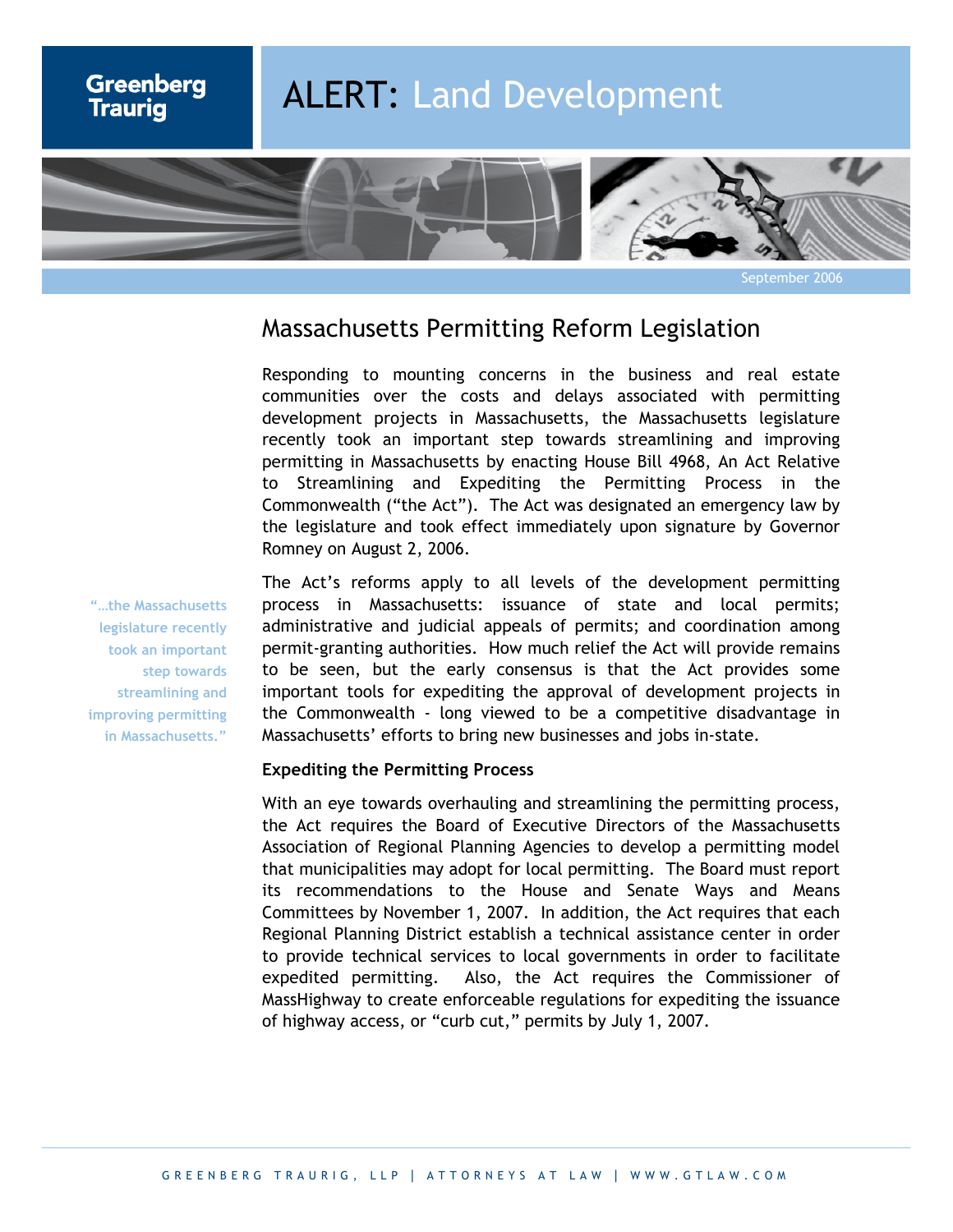

September 2006

# Massachusetts Permitting Reform Legislation

Responding to mounting concerns in the business and real estate communities over the costs and delays associated with permitting development projects in Massachusetts, the Massachusetts legislature recently took an important step towards streamlining and improving permitting in Massachusetts by enacting House Bill 4968, An Act Relative to Streamlining and Expediting the Permitting Process in the Commonwealth ("the Act"). The Act was designated an emergency law by the legislature and took effect immediately upon signature by Governor Romney on August 2, 2006.

The Act's reforms apply to all levels of the development permitting process in Massachusetts: issuance of state and local permits; administrative and judicial appeals of permits; and coordination among permit-granting authorities. How much relief the Act will provide remains to be seen, but the early consensus is that the Act provides some important tools for expediting the approval of development projects in the Commonwealth - long viewed to be a competitive disadvantage in Massachusetts' efforts to bring new businesses and jobs in-state.

# **Expediting the Permitting Process**

With an eye towards overhauling and streamlining the permitting process, the Act requires the Board of Executive Directors of the Massachusetts Association of Regional Planning Agencies to develop a permitting model that municipalities may adopt for local permitting. The Board must report its recommendations to the House and Senate Ways and Means Committees by November 1, 2007. In addition, the Act requires that each Regional Planning District establish a technical assistance center in order to provide technical services to local governments in order to facilitate expedited permitting. Also, the Act requires the Commissioner of MassHighway to create enforceable regulations for expediting the issuance of highway access, or "curb cut," permits by July 1, 2007.

**"…the Massachusetts legislature recently took an important step towards streamlining and improving permitting in Massachusetts."**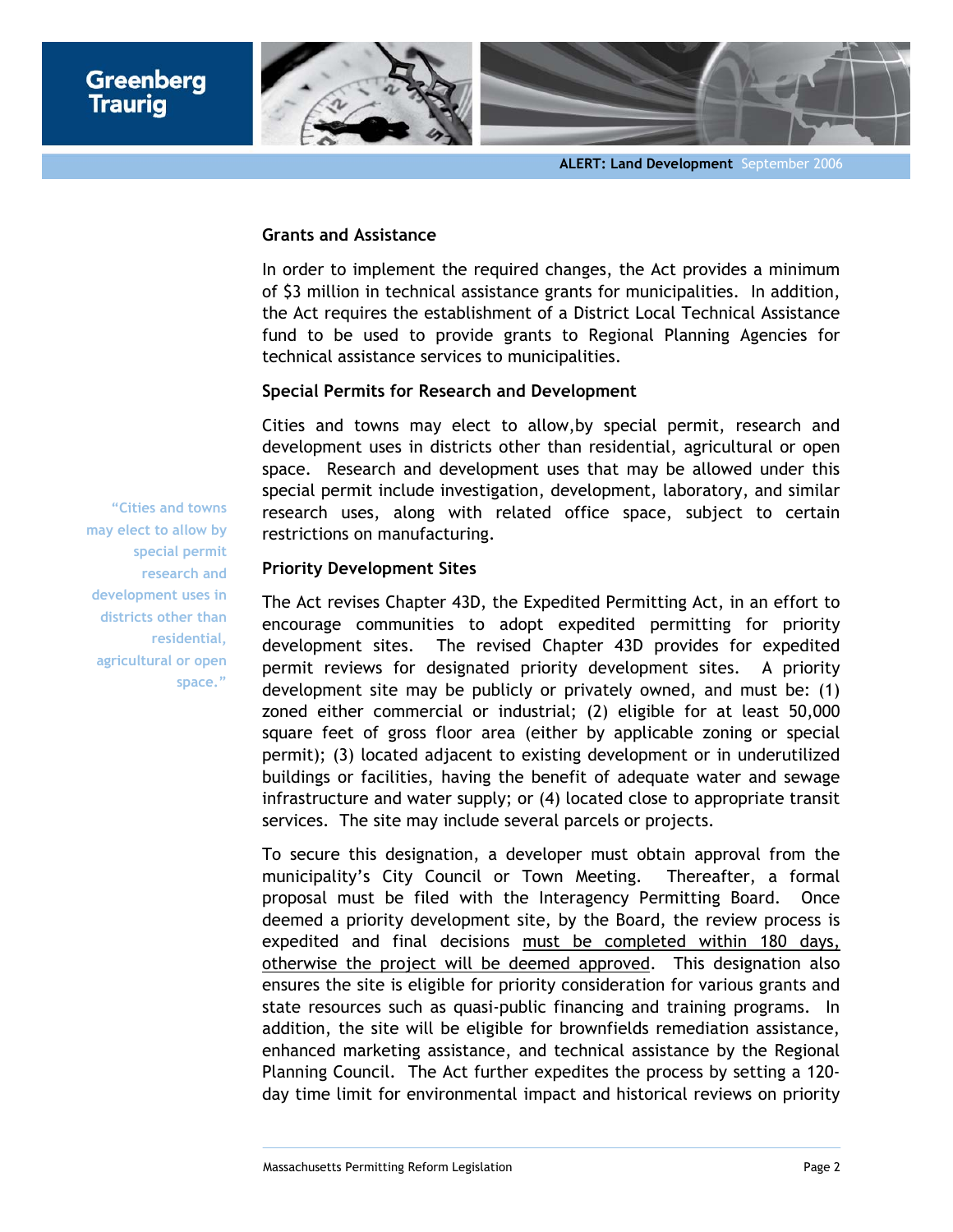

#### **Grants and Assistance**

In order to implement the required changes, the Act provides a minimum of \$3 million in technical assistance grants for municipalities. In addition, the Act requires the establishment of a District Local Technical Assistance fund to be used to provide grants to Regional Planning Agencies for technical assistance services to municipalities.

# **Special Permits for Research and Development**

Cities and towns may elect to allow,by special permit, research and development uses in districts other than residential, agricultural or open space. Research and development uses that may be allowed under this special permit include investigation, development, laboratory, and similar research uses, along with related office space, subject to certain restrictions on manufacturing.

# **Priority Development Sites**

The Act revises Chapter 43D, the Expedited Permitting Act, in an effort to encourage communities to adopt expedited permitting for priority development sites. The revised Chapter 43D provides for expedited permit reviews for designated priority development sites. A priority development site may be publicly or privately owned, and must be: (1) zoned either commercial or industrial; (2) eligible for at least 50,000 square feet of gross floor area (either by applicable zoning or special permit); (3) located adjacent to existing development or in underutilized buildings or facilities, having the benefit of adequate water and sewage infrastructure and water supply; or (4) located close to appropriate transit services. The site may include several parcels or projects.

To secure this designation, a developer must obtain approval from the municipality's City Council or Town Meeting. Thereafter, a formal proposal must be filed with the Interagency Permitting Board. Once deemed a priority development site, by the Board, the review process is expedited and final decisions must be completed within 180 days, otherwise the project will be deemed approved. This designation also ensures the site is eligible for priority consideration for various grants and state resources such as quasi-public financing and training programs. In addition, the site will be eligible for brownfields remediation assistance, enhanced marketing assistance, and technical assistance by the Regional Planning Council. The Act further expedites the process by setting a 120 day time limit for environmental impact and historical reviews on priority

**"Cities and towns may elect to allow by special permit research and development uses in districts other than residential, agricultural or open space."**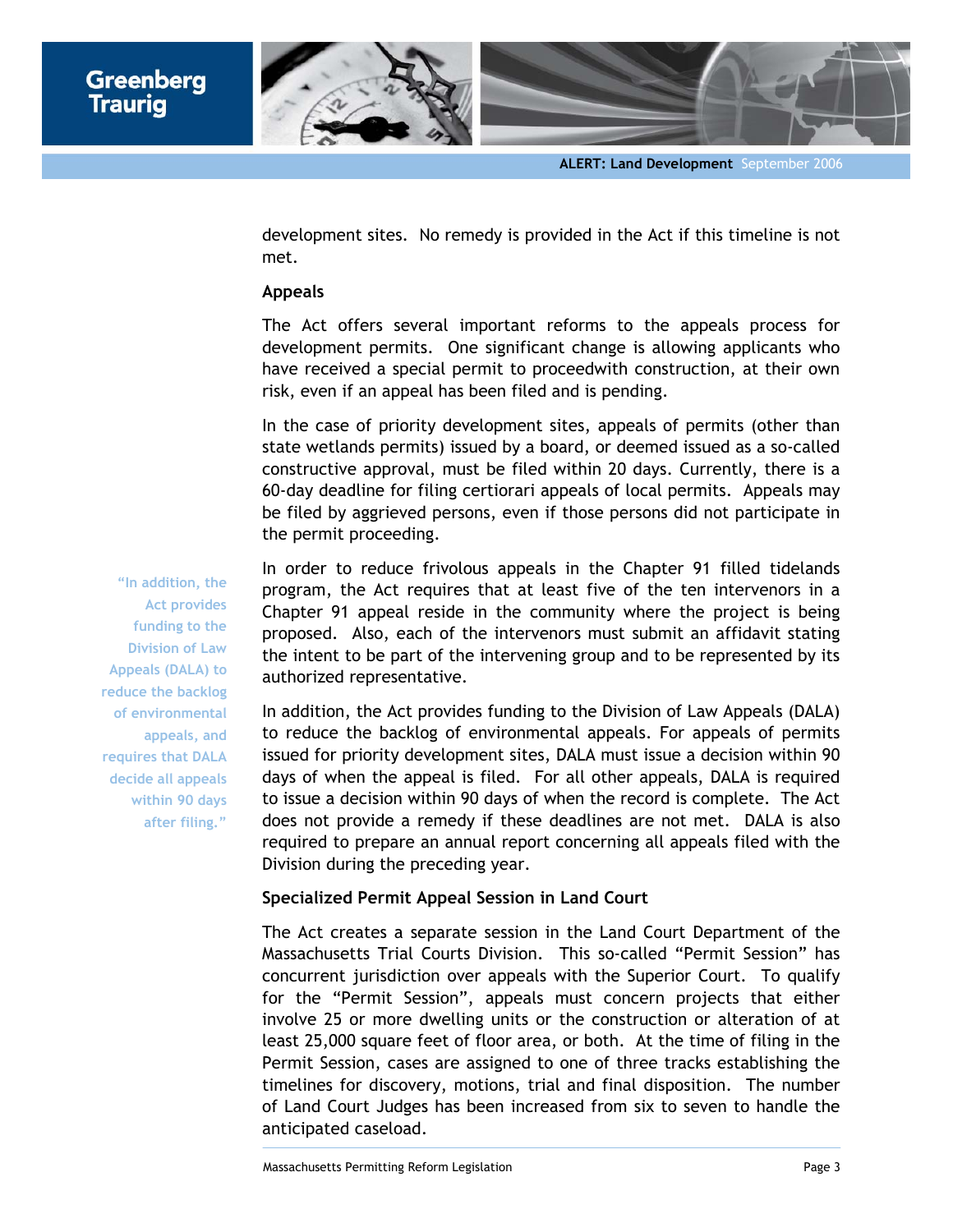

development sites. No remedy is provided in the Act if this timeline is not met.

#### **Appeals**

The Act offers several important reforms to the appeals process for development permits. One significant change is allowing applicants who have received a special permit to proceedwith construction, at their own risk, even if an appeal has been filed and is pending.

In the case of priority development sites, appeals of permits (other than state wetlands permits) issued by a board, or deemed issued as a so-called constructive approval, must be filed within 20 days. Currently, there is a 60-day deadline for filing certiorari appeals of local permits. Appeals may be filed by aggrieved persons, even if those persons did not participate in the permit proceeding.

In order to reduce frivolous appeals in the Chapter 91 filled tidelands program, the Act requires that at least five of the ten intervenors in a Chapter 91 appeal reside in the community where the project is being proposed. Also, each of the intervenors must submit an affidavit stating the intent to be part of the intervening group and to be represented by its authorized representative.

In addition, the Act provides funding to the Division of Law Appeals (DALA) to reduce the backlog of environmental appeals. For appeals of permits issued for priority development sites, DALA must issue a decision within 90 days of when the appeal is filed. For all other appeals, DALA is required to issue a decision within 90 days of when the record is complete. The Act does not provide a remedy if these deadlines are not met. DALA is also required to prepare an annual report concerning all appeals filed with the Division during the preceding year.

## **Specialized Permit Appeal Session in Land Court**

The Act creates a separate session in the Land Court Department of the Massachusetts Trial Courts Division. This so-called "Permit Session" has concurrent jurisdiction over appeals with the Superior Court. To qualify for the "Permit Session", appeals must concern projects that either involve 25 or more dwelling units or the construction or alteration of at least 25,000 square feet of floor area, or both. At the time of filing in the Permit Session, cases are assigned to one of three tracks establishing the timelines for discovery, motions, trial and final disposition. The number of Land Court Judges has been increased from six to seven to handle the anticipated caseload.

**"In addition, the Act provides funding to the Division of Law Appeals (DALA) to reduce the backlog of environmental appeals, and requires that DALA decide all appeals within 90 days after filing."**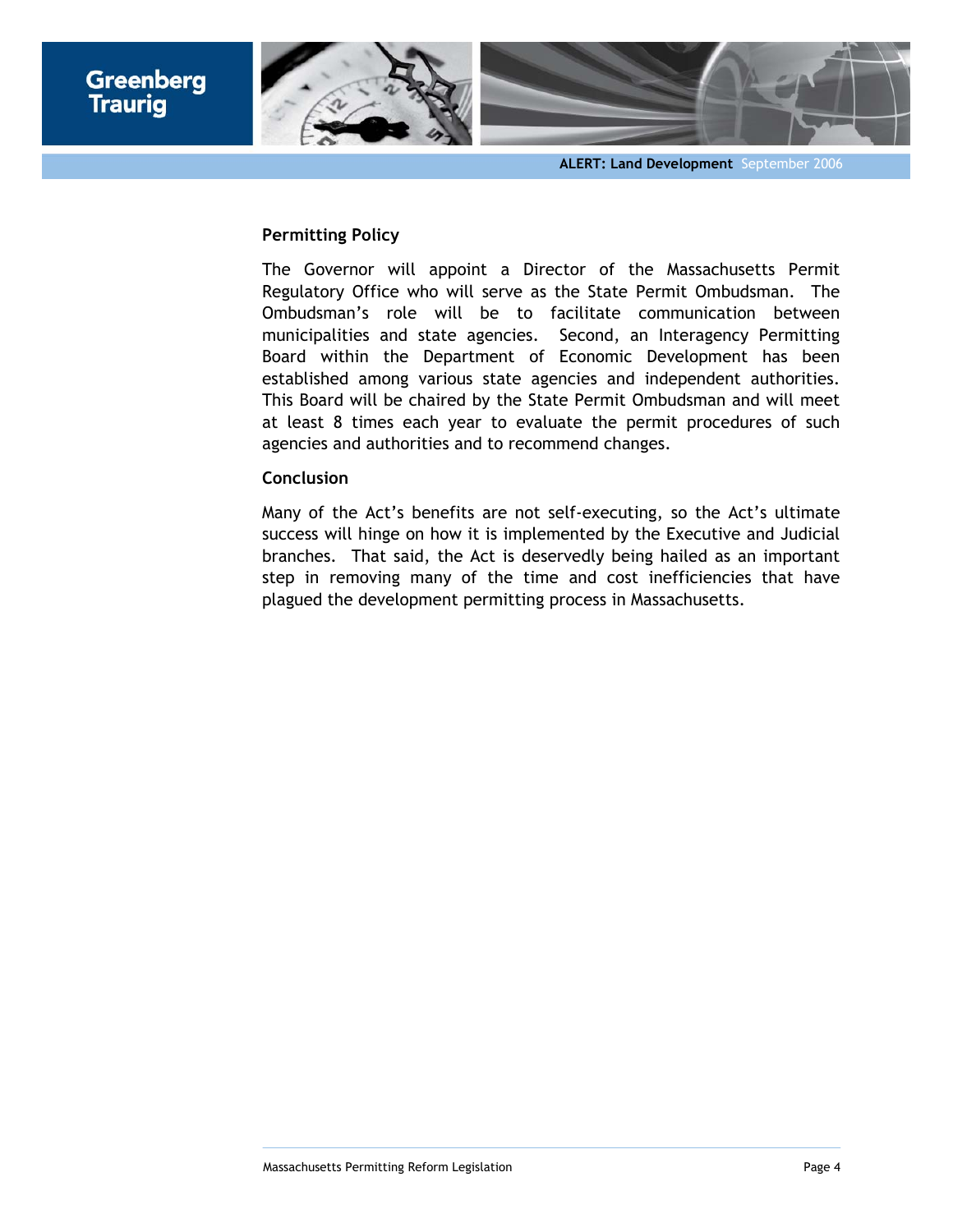

## **Permitting Policy**

The Governor will appoint a Director of the Massachusetts Permit Regulatory Office who will serve as the State Permit Ombudsman. The Ombudsman's role will be to facilitate communication between municipalities and state agencies. Second, an Interagency Permitting Board within the Department of Economic Development has been established among various state agencies and independent authorities. This Board will be chaired by the State Permit Ombudsman and will meet at least 8 times each year to evaluate the permit procedures of such agencies and authorities and to recommend changes.

## **Conclusion**

Many of the Act's benefits are not self-executing, so the Act's ultimate success will hinge on how it is implemented by the Executive and Judicial branches. That said, the Act is deservedly being hailed as an important step in removing many of the time and cost inefficiencies that have plagued the development permitting process in Massachusetts.